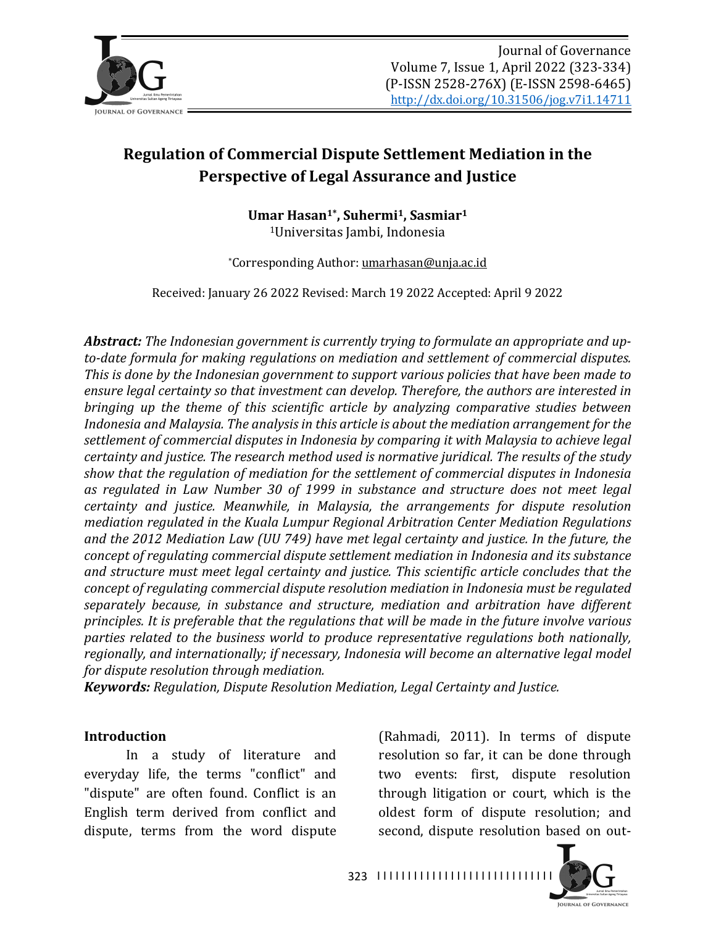

# **Regulation of Commercial Dispute Settlement Mediation in the Perspective of Legal Assurance and Justice**

Umar Hasan<sup>1\*</sup>, Suhermi<sup>1</sup>, Sasmiar<sup>1</sup> <sup>1</sup>Universitas Jambi, Indonesia

\*Corresponding Author: umarhasan@unja.ac.id

Received: January 26 2022 Revised: March 19 2022 Accepted: April 9 2022

Abstract: The Indonesian government is currently trying to formulate an appropriate and upto-date formula for making regulations on mediation and settlement of commercial disputes. *This* is done by the Indonesian government to support various policies that have been made to ensure legal certainty so that investment can develop. Therefore, the authors are interested in *bringing up the theme of this scientific article by analyzing comparative studies between Indonesia and Malaysia. The analysis in this article is about the mediation arrangement for the* settlement of commercial disputes in Indonesia by comparing it with Malaysia to achieve legal *certainty and justice. The research method used is normative juridical. The results of the study* show that the regulation of mediation for the settlement of commercial disputes in Indonesia as regulated in Law Number 30 of 1999 in substance and structure does not meet legal *certainty* and *justice.* Meanwhile, in Malaysia, the arrangements for dispute resolution *mediation regulated in the Kuala Lumpur Regional Arbitration Center Mediation Regulations* and the 2012 Mediation Law (UU 749) have met legal certainty and justice. In the future, the *concept of regulating commercial dispute settlement mediation in Indonesia and its substance* and structure must meet legal certainty and justice. This scientific article concludes that the *concept of regulating commercial dispute resolution mediation in Indonesia must be regulated* separately because, in substance and structure, mediation and arbitration have different *principles.* It is preferable that the regulations that will be made in the future involve various *parties related to the business world to produce representative regulations both nationally,* regionally, and internationally; if necessary, Indonesia will become an alternative legal model *for dispute resolution through mediation.* 

*Keywords: Regulation, Dispute Resolution Mediation, Legal Certainty and Justice.* 

#### **Introduction**

In a study of literature and everyday life, the terms "conflict" and "dispute" are often found. Conflict is an English term derived from conflict and dispute, terms from the word dispute (Rahmadi, 2011). In terms of dispute resolution so far, it can be done through two events: first, dispute resolution through litigation or court, which is the oldest form of dispute resolution; and second, dispute resolution based on out-

323 ||||||||||||||||||||||||||||||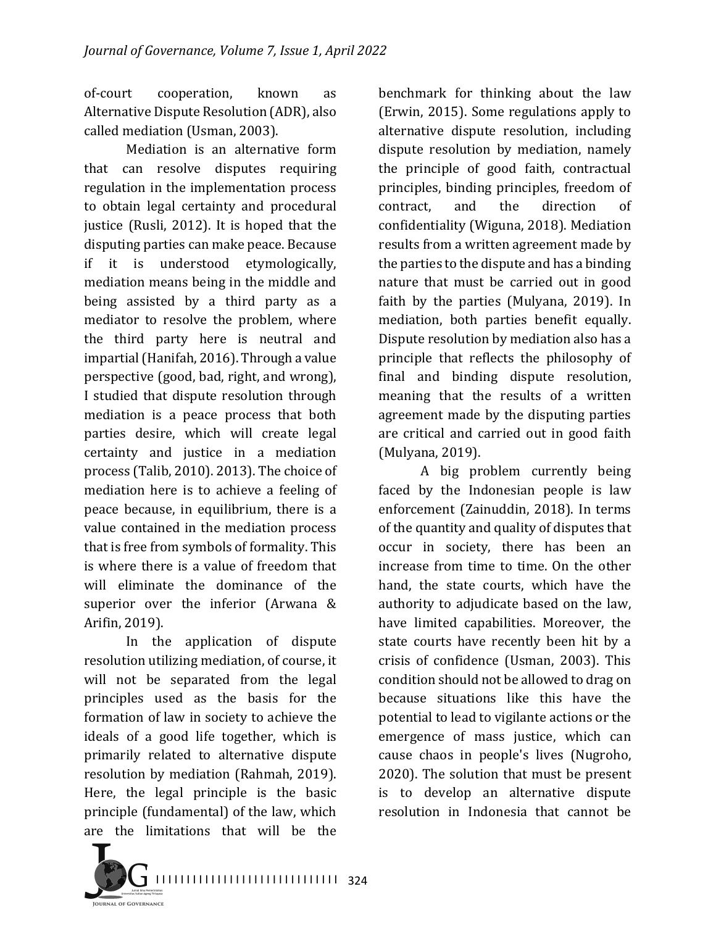of-court cooperation, known as Alternative Dispute Resolution (ADR), also called mediation (Usman, 2003).

Mediation is an alternative form that can resolve disputes requiring regulation in the implementation process to obtain legal certainty and procedural justice (Rusli, 2012). It is hoped that the disputing parties can make peace. Because if it is understood etymologically, mediation means being in the middle and being assisted by a third party as a mediator to resolve the problem, where the third party here is neutral and impartial (Hanifah, 2016). Through a value perspective (good, bad, right, and wrong), I studied that dispute resolution through mediation is a peace process that both parties desire, which will create legal certainty and justice in a mediation process (Talib, 2010). 2013). The choice of mediation here is to achieve a feeling of peace because, in equilibrium, there is a value contained in the mediation process that is free from symbols of formality. This is where there is a value of freedom that will eliminate the dominance of the superior over the inferior (Arwana  $&$ Arifin, 2019).

In the application of dispute resolution utilizing mediation, of course, it will not be separated from the legal principles used as the basis for the formation of law in society to achieve the ideals of a good life together, which is primarily related to alternative dispute resolution by mediation (Rahmah, 2019). Here, the legal principle is the basic principle (fundamental) of the law, which are the limitations that will be the

benchmark for thinking about the law (Erwin, 2015). Some regulations apply to alternative dispute resolution, including dispute resolution by mediation, namely the principle of good faith, contractual principles, binding principles, freedom of contract, and the direction of confidentiality (Wiguna, 2018). Mediation results from a written agreement made by the parties to the dispute and has a binding nature that must be carried out in good faith by the parties (Mulyana,  $2019$ ). In mediation, both parties benefit equally. Dispute resolution by mediation also has a principle that reflects the philosophy of final and binding dispute resolution, meaning that the results of a written agreement made by the disputing parties are critical and carried out in good faith (Mulyana, 2019).

A big problem currently being faced by the Indonesian people is law enforcement (Zainuddin, 2018). In terms of the quantity and quality of disputes that occur in society, there has been an increase from time to time. On the other hand, the state courts, which have the authority to adjudicate based on the law, have limited capabilities. Moreover, the state courts have recently been hit by a crisis of confidence (Usman, 2003). This condition should not be allowed to drag on because situations like this have the potential to lead to vigilante actions or the emergence of mass justice, which can cause chaos in people's lives (Nugroho, 2020). The solution that must be present is to develop an alternative dispute resolution in Indonesia that cannot be

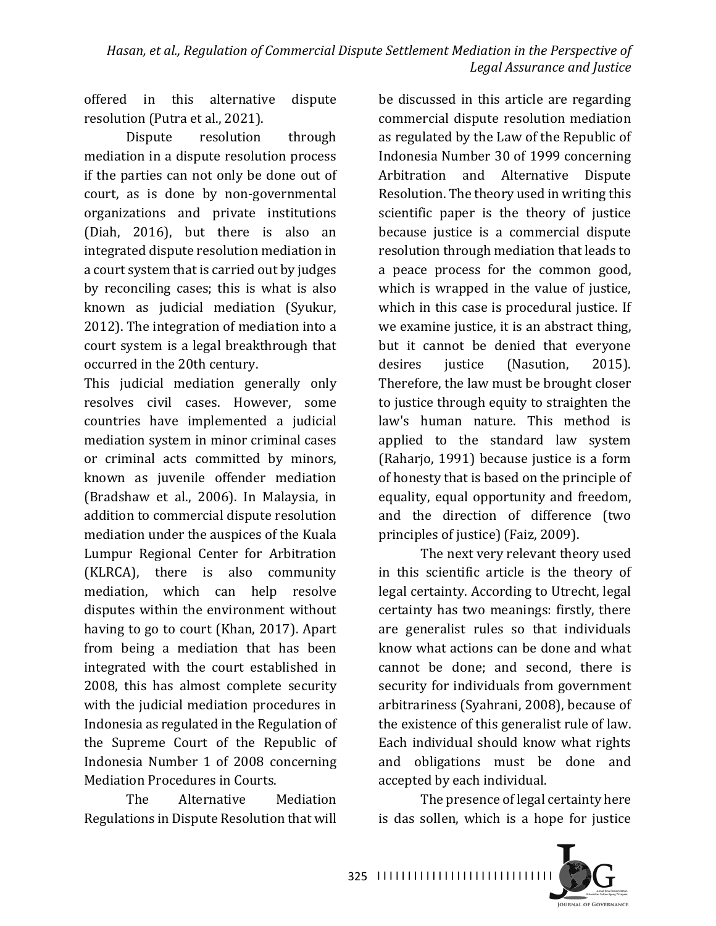offered in this alternative dispute resolution (Putra et al., 2021).

Dispute resolution through mediation in a dispute resolution process if the parties can not only be done out of court, as is done by non-governmental organizations and private institutions (Diah, 2016), but there is also an integrated dispute resolution mediation in a court system that is carried out by judges by reconciling cases; this is what is also known as judicial mediation (Syukur, 2012). The integration of mediation into a court system is a legal breakthrough that occurred in the 20th century.

This judicial mediation generally only resolves civil cases. However, some countries have implemented a judicial mediation system in minor criminal cases or criminal acts committed by minors, known as juvenile offender mediation (Bradshaw et al., 2006). In Malaysia, in addition to commercial dispute resolution mediation under the auspices of the Kuala Lumpur Regional Center for Arbitration (KLRCA), there is also community mediation, which can help resolve disputes within the environment without having to go to court (Khan, 2017). Apart from being a mediation that has been integrated with the court established in 2008, this has almost complete security with the judicial mediation procedures in Indonesia as regulated in the Regulation of the Supreme Court of the Republic of Indonesia Number 1 of 2008 concerning Mediation Procedures in Courts.

The Alternative Mediation Regulations in Dispute Resolution that will be discussed in this article are regarding commercial dispute resolution mediation as regulated by the Law of the Republic of Indonesia Number 30 of 1999 concerning Arbitration and Alternative Dispute Resolution. The theory used in writing this scientific paper is the theory of justice because justice is a commercial dispute resolution through mediation that leads to a peace process for the common good, which is wrapped in the value of justice, which in this case is procedural justice. If we examine justice, it is an abstract thing, but it cannot be denied that everyone desires justice (Nasution, 2015). Therefore, the law must be brought closer to justice through equity to straighten the law's human nature. This method is applied to the standard law system (Raharjo, 1991) because justice is a form of honesty that is based on the principle of equality, equal opportunity and freedom, and the direction of difference (two principles of justice) (Faiz, 2009).

The next very relevant theory used in this scientific article is the theory of legal certainty. According to Utrecht, legal certainty has two meanings: firstly, there are generalist rules so that individuals know what actions can be done and what cannot be done; and second, there is security for individuals from government arbitrariness (Syahrani, 2008), because of the existence of this generalist rule of law. Each individual should know what rights and obligations must be done and accepted by each individual.

The presence of legal certainty here is das sollen, which is a hope for justice

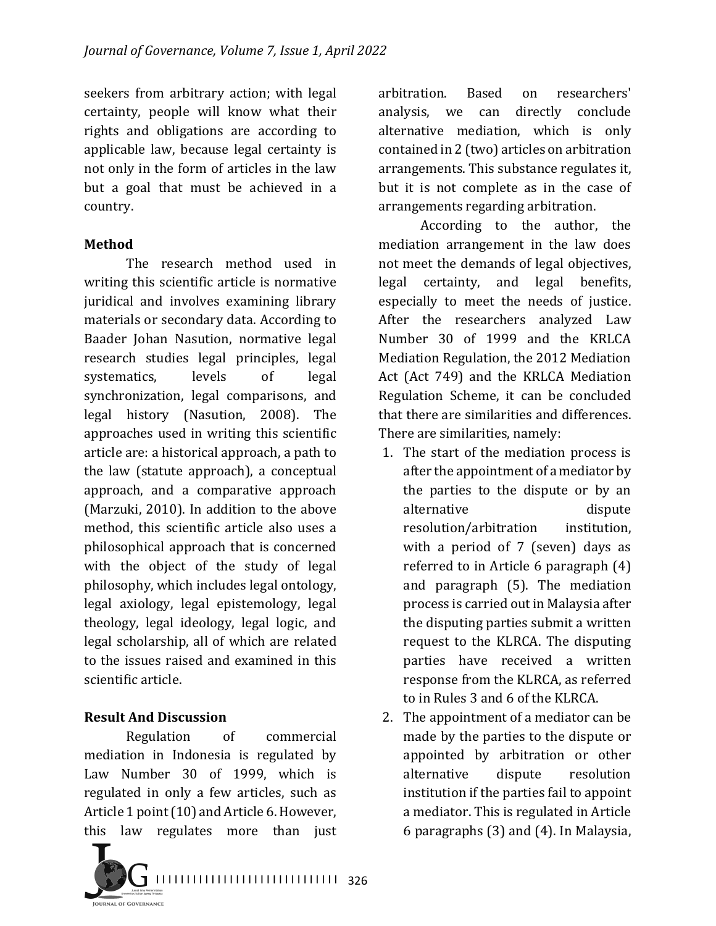seekers from arbitrary action; with legal certainty, people will know what their rights and obligations are according to applicable law, because legal certainty is not only in the form of articles in the law but a goal that must be achieved in a country.

#### **Method**

The research method used in writing this scientific article is normative juridical and involves examining library materials or secondary data. According to Baader Johan Nasution, normative legal research studies legal principles, legal systematics, levels of legal synchronization, legal comparisons, and legal history (Nasution, 2008). The approaches used in writing this scientific article are: a historical approach, a path to the law (statute approach), a conceptual approach, and a comparative approach (Marzuki, 2010). In addition to the above method, this scientific article also uses a philosophical approach that is concerned with the object of the study of legal philosophy, which includes legal ontology, legal axiology, legal epistemology, legal theology, legal ideology, legal logic, and legal scholarship, all of which are related to the issues raised and examined in this scientific article.

## **Result And Discussion**

Regulation of commercial mediation in Indonesia is regulated by Law Number 30 of 1999, which is regulated in only a few articles, such as Article 1 point (10) and Article 6. However, this law regulates more than just



arbitration. Based on researchers' analysis, we can directly conclude alternative mediation, which is only contained in 2 (two) articles on arbitration arrangements. This substance regulates it, but it is not complete as in the case of arrangements regarding arbitration.

According to the author, the mediation arrangement in the law does not meet the demands of legal objectives, legal certainty, and legal benefits, especially to meet the needs of justice. After the researchers analyzed Law Number 30 of 1999 and the KRLCA Mediation Regulation, the 2012 Mediation Act (Act 749) and the KRLCA Mediation Regulation Scheme, it can be concluded that there are similarities and differences. There are similarities, namely:

- 1. The start of the mediation process is after the appointment of a mediator by the parties to the dispute or by an alternative dispute resolution/arbitration institution, with a period of  $7$  (seven) days as referred to in Article  $6$  paragraph  $(4)$ and paragraph (5). The mediation process is carried out in Malaysia after the disputing parties submit a written request to the KLRCA. The disputing parties have received a written response from the KLRCA, as referred to in Rules 3 and 6 of the KLRCA.
- 2. The appointment of a mediator can be made by the parties to the dispute or appointed by arbitration or other alternative dispute resolution institution if the parties fail to appoint a mediator. This is regulated in Article 6 paragraphs  $(3)$  and  $(4)$ . In Malaysia,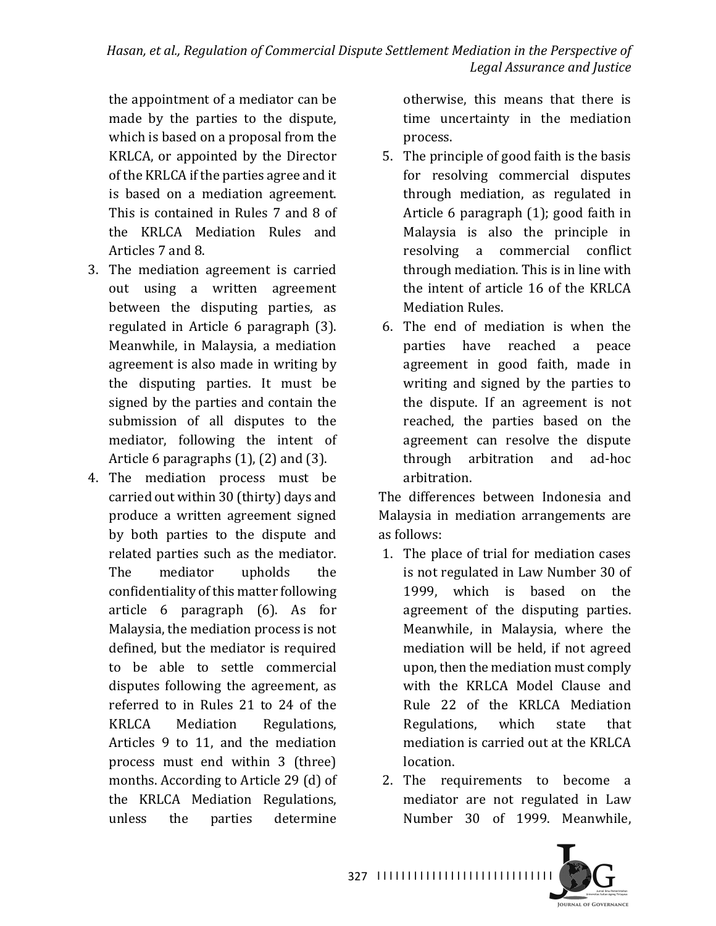the appointment of a mediator can be made by the parties to the dispute, which is based on a proposal from the KRLCA, or appointed by the Director of the KRLCA if the parties agree and it is based on a mediation agreement. This is contained in Rules 7 and 8 of the KRLCA Mediation Rules and Articles 7 and 8.

- 3. The mediation agreement is carried out using a written agreement between the disputing parties, as regulated in Article 6 paragraph (3). Meanwhile, in Malaysia, a mediation agreement is also made in writing by the disputing parties. It must be signed by the parties and contain the submission of all disputes to the mediator, following the intent of Article 6 paragraphs  $(1)$ ,  $(2)$  and  $(3)$ .
- 4. The mediation process must be carried out within 30 (thirty) days and produce a written agreement signed by both parties to the dispute and related parties such as the mediator. The mediator upholds the confidentiality of this matter following article  $6$  paragraph  $(6)$ . As for Malaysia, the mediation process is not defined, but the mediator is required to be able to settle commercial disputes following the agreement, as referred to in Rules 21 to 24 of the KRLCA Mediation Regulations, Articles 9 to 11, and the mediation process must end within 3 (three) months. According to Article 29 (d) of the KRLCA Mediation Regulations, unless the parties determine

otherwise, this means that there is time uncertainty in the mediation process.

- 5. The principle of good faith is the basis for resolving commercial disputes through mediation, as regulated in Article  $6$  paragraph  $(1)$ ; good faith in Malaysia is also the principle in resolving a commercial conflict through mediation. This is in line with the intent of article 16 of the KRLCA Mediation Rules.
- 6. The end of mediation is when the parties have reached a peace agreement in good faith, made in writing and signed by the parties to the dispute. If an agreement is not reached, the parties based on the agreement can resolve the dispute through arbitration and ad-hoc arbitration.

The differences between Indonesia and Malaysia in mediation arrangements are as follows:

- 1. The place of trial for mediation cases is not regulated in Law Number 30 of 1999, which is based on the agreement of the disputing parties. Meanwhile, in Malaysia, where the mediation will be held, if not agreed upon, then the mediation must comply with the KRLCA Model Clause and Rule 22 of the KRLCA Mediation Regulations, which state that mediation is carried out at the KRLCA location.
- 2. The requirements to become a mediator are not regulated in Law Number 30 of 1999. Meanwhile,



327 ||||||||||||||||||||||||||||||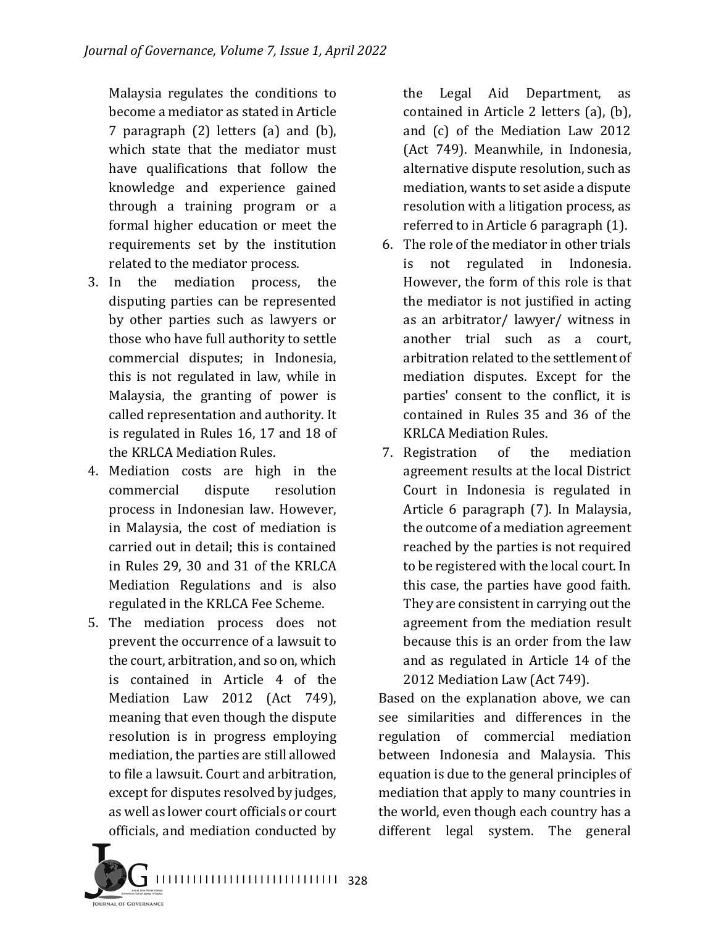Malaysia regulates the conditions to become a mediator as stated in Article 7 paragraph  $(2)$  letters  $(a)$  and  $(b)$ , which state that the mediator must have qualifications that follow the knowledge and experience gained through a training program or a formal higher education or meet the requirements set by the institution related to the mediator process.

- 3. In the mediation process, the disputing parties can be represented by other parties such as lawyers or those who have full authority to settle commercial disputes; in Indonesia, this is not regulated in law, while in Malaysia, the granting of power is called representation and authority. It is regulated in Rules 16, 17 and 18 of the KRLCA Mediation Rules.
- 4. Mediation costs are high in the commercial dispute resolution process in Indonesian law. However, in Malaysia, the cost of mediation is carried out in detail; this is contained in Rules 29, 30 and 31 of the KRLCA Mediation Regulations and is also regulated in the KRLCA Fee Scheme.
- 5. The mediation process does not prevent the occurrence of a lawsuit to the court, arbitration, and so on, which is contained in Article 4 of the Mediation Law 2012 (Act 749), meaning that even though the dispute resolution is in progress employing mediation, the parties are still allowed to file a lawsuit. Court and arbitration, except for disputes resolved by judges, as well as lower court officials or court officials, and mediation conducted by

the Legal Aid Department, as contained in Article 2 letters  $(a)$ ,  $(b)$ , and  $(c)$  of the Mediation Law 2012 (Act 749). Meanwhile, in Indonesia, alternative dispute resolution, such as mediation, wants to set aside a dispute resolution with a litigation process, as referred to in Article  $6$  paragraph  $(1)$ .

- 6. The role of the mediator in other trials is not regulated in Indonesia. However, the form of this role is that the mediator is not justified in acting as an arbitrator/ lawyer/ witness in another trial such as a court, arbitration related to the settlement of mediation disputes. Except for the parties' consent to the conflict, it is contained in Rules 35 and 36 of the **KRLCA Mediation Rules.**
- 7. Registration of the mediation agreement results at the local District Court in Indonesia is regulated in Article 6 paragraph (7). In Malaysia, the outcome of a mediation agreement reached by the parties is not required to be registered with the local court. In this case, the parties have good faith. They are consistent in carrying out the agreement from the mediation result because this is an order from the law and as regulated in Article 14 of the 2012 Mediation Law (Act 749).

Based on the explanation above, we can see similarities and differences in the regulation of commercial mediation between Indonesia and Malaysia. This equation is due to the general principles of mediation that apply to many countries in the world, even though each country has a different legal system. The general

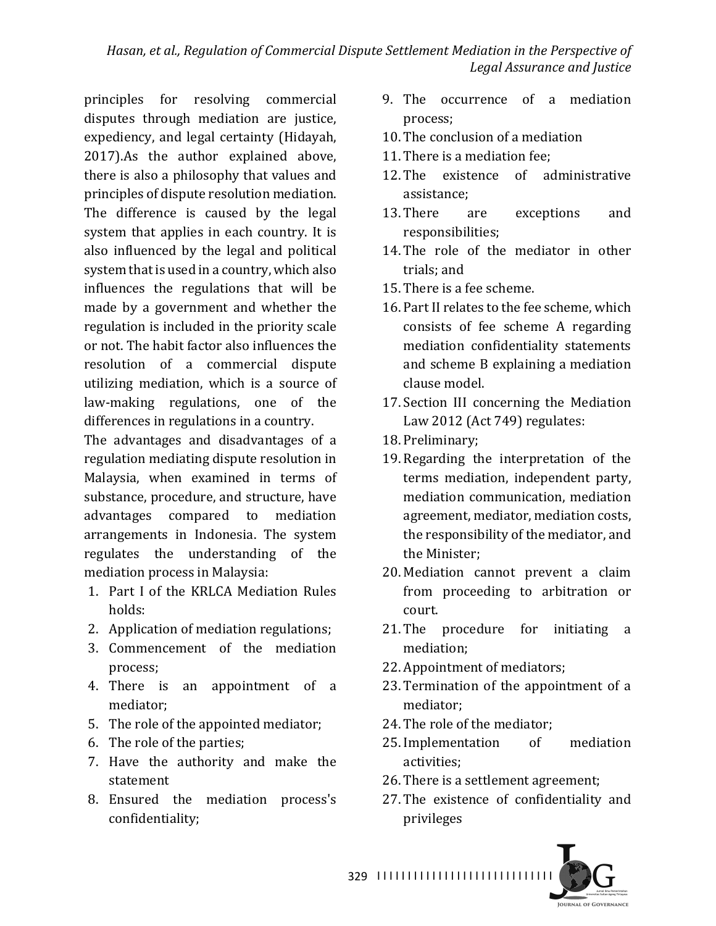principles for resolving commercial disputes through mediation are justice, expediency, and legal certainty (Hidayah, 2017).As the author explained above, there is also a philosophy that values and principles of dispute resolution mediation. The difference is caused by the legal system that applies in each country. It is also influenced by the legal and political system that is used in a country, which also influences the regulations that will be made by a government and whether the regulation is included in the priority scale or not. The habit factor also influences the resolution of a commercial dispute utilizing mediation, which is a source of law-making regulations, one of the differences in regulations in a country.

The advantages and disadvantages of a regulation mediating dispute resolution in Malaysia, when examined in terms of substance, procedure, and structure, have advantages compared to mediation arrangements in Indonesia. The system regulates the understanding of the mediation process in Malaysia:

- 1. Part I of the KRLCA Mediation Rules holds:
- 2. Application of mediation regulations;
- 3. Commencement of the mediation process;
- 4. There is an appointment of a mediator;
- 5. The role of the appointed mediator;
- 6. The role of the parties;
- 7. Have the authority and make the statement
- 8. Ensured the mediation process's confidentiality;
- 9. The occurrence of a mediation process;
- 10. The conclusion of a mediation
- 11. There is a mediation fee:
- 12. The existence of administrative assistance;
- 13. There are exceptions and responsibilities;
- 14. The role of the mediator in other trials; and
- 15. There is a fee scheme.
- 16. Part II relates to the fee scheme, which consists of fee scheme A regarding mediation confidentiality statements and scheme B explaining a mediation clause model.
- 17. Section III concerning the Mediation Law 2012 (Act 749) regulates:
- 18. Preliminary;
- 19. Regarding the interpretation of the terms mediation, independent party, mediation communication, mediation agreement, mediator, mediation costs, the responsibility of the mediator, and the Minister;
- 20. Mediation cannot prevent a claim from proceeding to arbitration or court.
- 21. The procedure for initiating a mediation;
- 22. Appointment of mediators;
- 23. Termination of the appointment of a mediator;
- 24. The role of the mediator;
- 25. Implementation of mediation activities;
- 26. There is a settlement agreement;
- 27. The existence of confidentiality and privileges

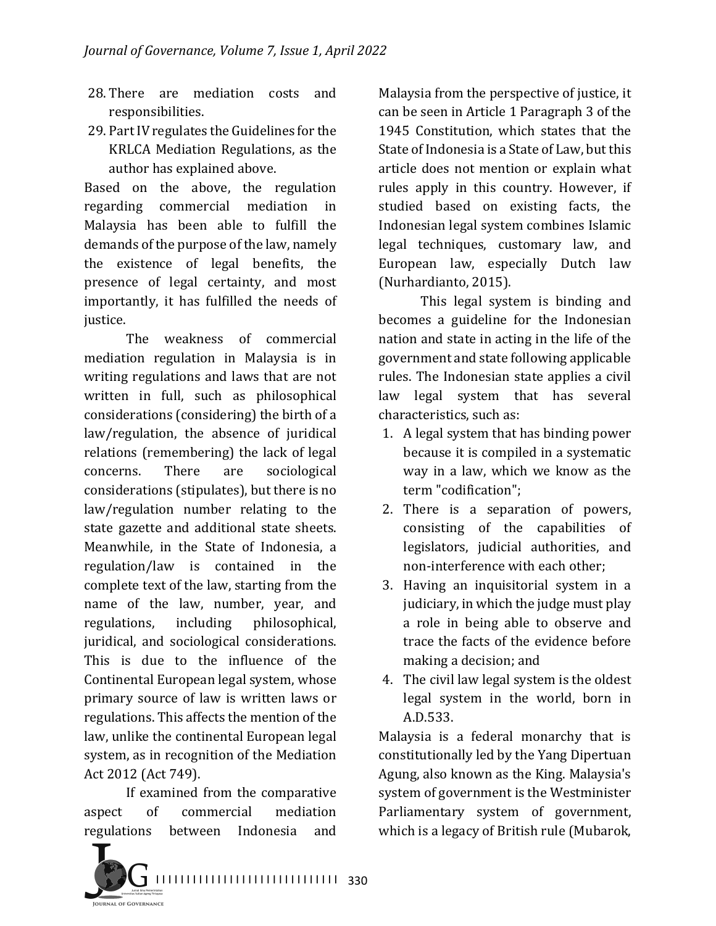- 28. There are mediation costs and responsibilities.
- 29. Part IV regulates the Guidelines for the KRLCA Mediation Regulations, as the author has explained above.

Based on the above, the regulation regarding commercial mediation in Malaysia has been able to fulfill the demands of the purpose of the law, namely the existence of legal benefits, the presence of legal certainty, and most importantly, it has fulfilled the needs of justice.

The weakness of commercial mediation regulation in Malaysia is in writing regulations and laws that are not written in full, such as philosophical considerations (considering) the birth of a law/regulation, the absence of juridical relations (remembering) the lack of legal concerns. There are sociological considerations (stipulates), but there is no law/regulation number relating to the state gazette and additional state sheets. Meanwhile, in the State of Indonesia, a regulation/law is contained in the complete text of the law, starting from the name of the law, number, year, and regulations, including philosophical, juridical, and sociological considerations. This is due to the influence of the Continental European legal system, whose primary source of law is written laws or regulations. This affects the mention of the law, unlike the continental European legal system, as in recognition of the Mediation Act 2012 (Act 749).

If examined from the comparative aspect of commercial mediation regulations between Indonesia and 

Malaysia from the perspective of justice, it can be seen in Article 1 Paragraph 3 of the 1945 Constitution, which states that the State of Indonesia is a State of Law, but this article does not mention or explain what rules apply in this country. However, if studied based on existing facts, the Indonesian legal system combines Islamic legal techniques, customary law, and European law, especially Dutch law (Nurhardianto, 2015).

This legal system is binding and becomes a guideline for the Indonesian nation and state in acting in the life of the government and state following applicable rules. The Indonesian state applies a civil law legal system that has several characteristics, such as:

- 1. A legal system that has binding power because it is compiled in a systematic way in a law, which we know as the term "codification";
- 2. There is a separation of powers, consisting of the capabilities of legislators, judicial authorities, and non-interference with each other;
- 3. Having an inquisitorial system in a judiciary, in which the judge must play a role in being able to observe and trace the facts of the evidence before making a decision; and
- 4. The civil law legal system is the oldest legal system in the world, born in A.D.533.

Malaysia is a federal monarchy that is constitutionally led by the Yang Dipertuan Agung, also known as the King. Malaysia's system of government is the Westminister Parliamentary system of government, which is a legacy of British rule (Mubarok,

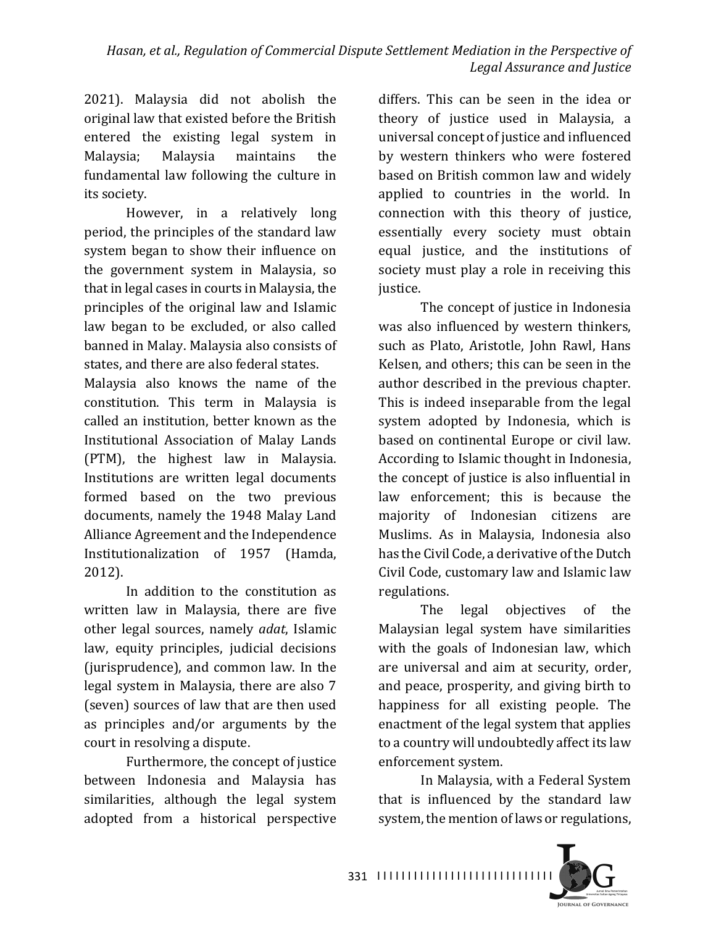2021). Malaysia did not abolish the original law that existed before the British entered the existing legal system in Malaysia; Malaysia maintains the fundamental law following the culture in its society.

However, in a relatively long period, the principles of the standard law system began to show their influence on the government system in Malaysia, so that in legal cases in courts in Malaysia, the principles of the original law and Islamic law began to be excluded, or also called banned in Malay. Malaysia also consists of states, and there are also federal states.

Malaysia also knows the name of the constitution. This term in Malaysia is called an institution, better known as the Institutional Association of Malay Lands (PTM), the highest law in Malaysia. Institutions are written legal documents formed based on the two previous documents, namely the 1948 Malay Land Alliance Agreement and the Independence Institutionalization of 1957 (Hamda, 2012).

In addition to the constitution as written law in Malaysia, there are five other legal sources, namely *adat*, Islamic law, equity principles, judicial decisions (jurisprudence), and common law. In the legal system in Malaysia, there are also 7 (seven) sources of law that are then used as principles and/or arguments by the court in resolving a dispute.

Furthermore, the concept of justice between Indonesia and Malaysia has similarities, although the legal system adopted from a historical perspective 

differs. This can be seen in the idea or theory of justice used in Malaysia, a universal concept of justice and influenced by western thinkers who were fostered based on British common law and widely applied to countries in the world. In connection with this theory of justice, essentially every society must obtain equal justice, and the institutions of society must play a role in receiving this justice.

The concept of justice in Indonesia was also influenced by western thinkers, such as Plato, Aristotle, John Rawl, Hans Kelsen, and others; this can be seen in the author described in the previous chapter. This is indeed inseparable from the legal system adopted by Indonesia, which is based on continental Europe or civil law. According to Islamic thought in Indonesia, the concept of justice is also influential in law enforcement; this is because the majority of Indonesian citizens are Muslims. As in Malaysia, Indonesia also has the Civil Code, a derivative of the Dutch Civil Code, customary law and Islamic law regulations.

The legal objectives of the Malaysian legal system have similarities with the goals of Indonesian law, which are universal and aim at security, order, and peace, prosperity, and giving birth to happiness for all existing people. The enactment of the legal system that applies to a country will undoubtedly affect its law enforcement system.

In Malaysia, with a Federal System that is influenced by the standard law system, the mention of laws or regulations,



331 ||||||||||||||||||||||||||||||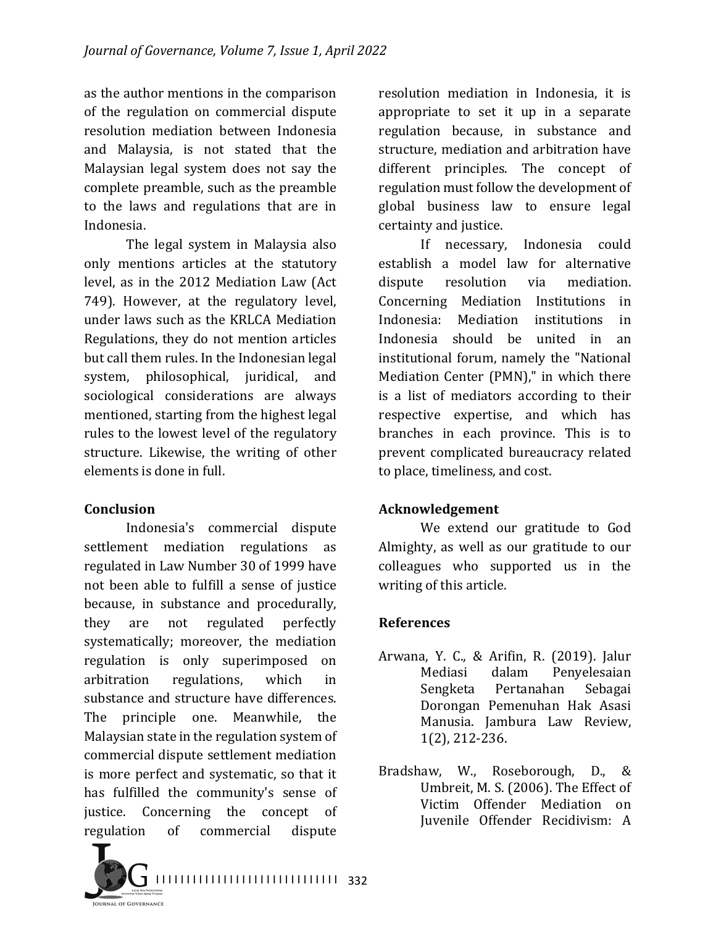as the author mentions in the comparison of the regulation on commercial dispute resolution mediation between Indonesia and Malaysia, is not stated that the Malaysian legal system does not say the complete preamble, such as the preamble to the laws and regulations that are in Indonesia.

The legal system in Malaysia also only mentions articles at the statutory level, as in the 2012 Mediation Law (Act 749). However, at the regulatory level, under laws such as the KRLCA Mediation Regulations, they do not mention articles but call them rules. In the Indonesian legal system, philosophical, juridical, and sociological considerations are always mentioned, starting from the highest legal rules to the lowest level of the regulatory structure. Likewise, the writing of other elements is done in full.

## **Conclusion**

Indonesia's commercial dispute settlement mediation regulations as regulated in Law Number 30 of 1999 have not been able to fulfill a sense of justice because, in substance and procedurally, they are not regulated perfectly systematically; moreover, the mediation regulation is only superimposed on arbitration regulations, which in substance and structure have differences. The principle one. Meanwhile, the Malaysian state in the regulation system of commercial dispute settlement mediation is more perfect and systematic, so that it has fulfilled the community's sense of justice. Concerning the concept of regulation of commercial dispute

resolution mediation in Indonesia, it is appropriate to set it up in a separate regulation because, in substance and structure, mediation and arbitration have different principles. The concept of regulation must follow the development of global business law to ensure legal certainty and justice.

If necessary, Indonesia could establish a model law for alternative dispute resolution via mediation. Concerning Mediation Institutions in Indonesia: Mediation institutions in Indonesia should be united in an institutional forum, namely the "National Mediation Center (PMN)," in which there is a list of mediators according to their respective expertise, and which has branches in each province. This is to prevent complicated bureaucracy related to place, timeliness, and cost.

## **Acknowledgement**

We extend our gratitude to God Almighty, as well as our gratitude to our colleagues who supported us in the writing of this article.

## **References**

- Arwana, Y. C., & Arifin, R. (2019). Jalur Mediasi dalam Penyelesaian Sengketa Pertanahan Sebagai Dorongan Pemenuhan Hak Asasi Manusia. Jambura Law Review, 1(2), 212-236.
- Bradshaw, W., Roseborough, D., & Umbreit, M. S. (2006). The Effect of Victim Offender Mediation on Juvenile Offender Recidivism: A

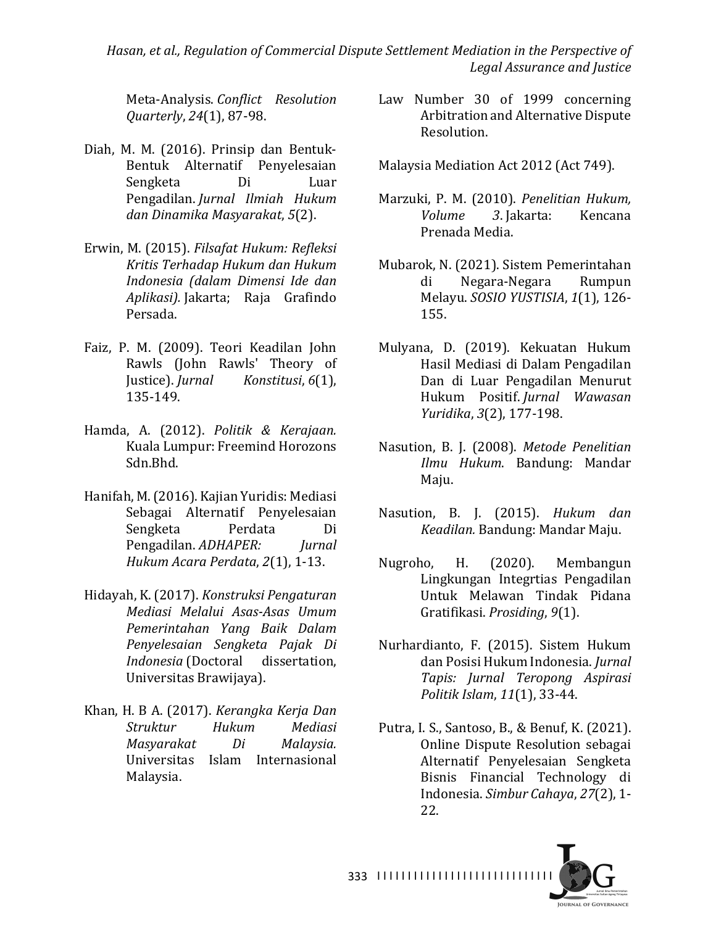Hasan, et al., Regulation of Commercial Dispute Settlement Mediation in the Perspective of *Legal Assurance and Justice*

Meta-Analysis. *Conflict Resolution Quarterly*, *24*(1), 87-98.

- Diah, M. M. (2016). Prinsip dan Bentuk-Bentuk Alternatif Penyelesaian Sengketa Di Luar Pengadilan. *Jurnal Ilmiah Hukum dan Dinamika Masyarakat*, *5*(2).
- Erwin, M. (2015). Filsafat Hukum: Refleksi *Kritis Terhadap Hukum dan Hukum Indonesia (dalam Dimensi Ide dan Aplikasi).* Jakarta; Raja Grafindo Persada.
- Faiz, P. M. (2009). Teori Keadilan John Rawls (John Rawls' Theory of Justice). *Jurnal Konstitusi*, *6*(1), 135-149.
- Hamda, A. (2012). *Politik & Kerajaan.* Kuala Lumpur: Freemind Horozons Sdn.Bhd.
- Hanifah, M. (2016). Kajian Yuridis: Mediasi Sebagai Alternatif Penyelesaian Sengketa Perdata Di Pengadilan. *ADHAPER: Jurnal Hukum Acara Perdata*, *2*(1), 1-13.
- Hidayah, K. (2017). *Konstruksi Pengaturan Mediasi Melalui Asas-Asas Umum Pemerintahan Yang Baik Dalam Penyelesaian Sengketa Pajak Di Indonesia* (Doctoral dissertation, Universitas Brawijaya).
- Khan, H. B A. (2017). *Kerangka Kerja Dan Struktur Hukum Mediasi Masyarakat Di Malaysia.* Universitas Islam Internasional Malaysia.
- Law Number 30 of 1999 concerning Arbitration and Alternative Dispute Resolution.
- Malaysia Mediation Act 2012 (Act 749).
- Marzuki, P. M. (2010). *Penelitian Hukum, Volume 3*. Jakarta: Kencana Prenada Media.
- Mubarok, N. (2021). Sistem Pemerintahan di Negara-Negara Rumpun Melayu. *SOSIO YUSTISIA*, *1*(1), 126- 155.
- Mulyana, D. (2019). Kekuatan Hukum Hasil Mediasi di Dalam Pengadilan Dan di Luar Pengadilan Menurut Hukum Positif. *Jurnal Wawasan Yuridika*, *3*(2), 177-198.
- Nasution, B. J. (2008). *Metode Penelitian Ilmu Hukum*. Bandung: Mandar Maju.
- Nasution, B. J. (2015). *Hukum dan Keadilan.* Bandung: Mandar Maju.
- Nugroho, H. (2020). Membangun Lingkungan Integrtias Pengadilan Untuk Melawan Tindak Pidana Gratifikasi. *Prosiding*, *9*(1).
- Nurhardianto, F. (2015). Sistem Hukum dan Posisi Hukum Indonesia. *Jurnal Tapis: Jurnal Teropong Aspirasi Politik Islam*, *11*(1), 33-44.
- Putra, I. S., Santoso, B., & Benuf, K. (2021). Online Dispute Resolution sebagai Alternatif Penyelesaian Sengketa Bisnis Financial Technology di Indonesia. *Simbur Cahaya*, *27*(2), 1- 22.



I I I I I I I I I I I I I I I I I I I I I I I I I I I I I 333